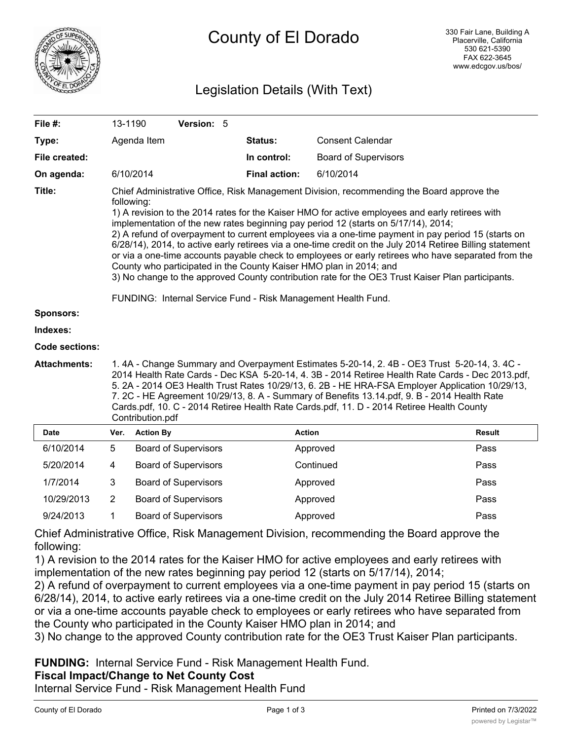

# County of El Dorado

# Legislation Details (With Text)

| File #:                                                                         | 13-1190                                                                                                                                                                                                                                                                                                                                                                                                                                                                                                                                                                                                                                                                                                                                                                                                                                                                                                                                                                                                                                                                                                                                                                                                                                                                                                                                                                    |                  | Version: 5                  |                      |                             |               |
|---------------------------------------------------------------------------------|----------------------------------------------------------------------------------------------------------------------------------------------------------------------------------------------------------------------------------------------------------------------------------------------------------------------------------------------------------------------------------------------------------------------------------------------------------------------------------------------------------------------------------------------------------------------------------------------------------------------------------------------------------------------------------------------------------------------------------------------------------------------------------------------------------------------------------------------------------------------------------------------------------------------------------------------------------------------------------------------------------------------------------------------------------------------------------------------------------------------------------------------------------------------------------------------------------------------------------------------------------------------------------------------------------------------------------------------------------------------------|------------------|-----------------------------|----------------------|-----------------------------|---------------|
| Type:                                                                           |                                                                                                                                                                                                                                                                                                                                                                                                                                                                                                                                                                                                                                                                                                                                                                                                                                                                                                                                                                                                                                                                                                                                                                                                                                                                                                                                                                            | Agenda Item      |                             | Status:              | <b>Consent Calendar</b>     |               |
| File created:                                                                   |                                                                                                                                                                                                                                                                                                                                                                                                                                                                                                                                                                                                                                                                                                                                                                                                                                                                                                                                                                                                                                                                                                                                                                                                                                                                                                                                                                            |                  |                             | In control:          | <b>Board of Supervisors</b> |               |
| On agenda:                                                                      |                                                                                                                                                                                                                                                                                                                                                                                                                                                                                                                                                                                                                                                                                                                                                                                                                                                                                                                                                                                                                                                                                                                                                                                                                                                                                                                                                                            | 6/10/2014        |                             | <b>Final action:</b> | 6/10/2014                   |               |
| Title:<br>Sponsors:<br>Indexes:<br><b>Code sections:</b><br><b>Attachments:</b> | Chief Administrative Office, Risk Management Division, recommending the Board approve the<br>following:<br>1) A revision to the 2014 rates for the Kaiser HMO for active employees and early retirees with<br>implementation of the new rates beginning pay period 12 (starts on 5/17/14), 2014;<br>2) A refund of overpayment to current employees via a one-time payment in pay period 15 (starts on<br>6/28/14), 2014, to active early retirees via a one-time credit on the July 2014 Retiree Billing statement<br>or via a one-time accounts payable check to employees or early retirees who have separated from the<br>County who participated in the County Kaiser HMO plan in 2014; and<br>3) No change to the approved County contribution rate for the OE3 Trust Kaiser Plan participants.<br>FUNDING: Internal Service Fund - Risk Management Health Fund.<br>1. 4A - Change Summary and Overpayment Estimates 5-20-14, 2. 4B - OE3 Trust 5-20-14, 3. 4C -<br>2014 Health Rate Cards - Dec KSA 5-20-14, 4. 3B - 2014 Retiree Health Rate Cards - Dec 2013.pdf,<br>5. 2A - 2014 OE3 Health Trust Rates 10/29/13, 6. 2B - HE HRA-FSA Employer Application 10/29/13,<br>7. 2C - HE Agreement 10/29/13, 8. A - Summary of Benefits 13.14.pdf, 9. B - 2014 Health Rate<br>Cards.pdf, 10. C - 2014 Retiree Health Rate Cards.pdf, 11. D - 2014 Retiree Health County |                  |                             |                      |                             |               |
| <b>Date</b>                                                                     | Ver.                                                                                                                                                                                                                                                                                                                                                                                                                                                                                                                                                                                                                                                                                                                                                                                                                                                                                                                                                                                                                                                                                                                                                                                                                                                                                                                                                                       | <b>Action By</b> |                             |                      | <b>Action</b>               | <b>Result</b> |
| 6/10/2014                                                                       | 5                                                                                                                                                                                                                                                                                                                                                                                                                                                                                                                                                                                                                                                                                                                                                                                                                                                                                                                                                                                                                                                                                                                                                                                                                                                                                                                                                                          |                  | <b>Board of Supervisors</b> |                      | Approved                    | Pass          |
| 5/20/2014                                                                       | 4                                                                                                                                                                                                                                                                                                                                                                                                                                                                                                                                                                                                                                                                                                                                                                                                                                                                                                                                                                                                                                                                                                                                                                                                                                                                                                                                                                          |                  | <b>Board of Supervisors</b> |                      | Continued                   | Pass          |
| 1/7/2014                                                                        | 3                                                                                                                                                                                                                                                                                                                                                                                                                                                                                                                                                                                                                                                                                                                                                                                                                                                                                                                                                                                                                                                                                                                                                                                                                                                                                                                                                                          |                  | <b>Board of Supervisors</b> |                      | Approved                    | Pass          |
| 10/29/2013                                                                      | $\overline{2}$                                                                                                                                                                                                                                                                                                                                                                                                                                                                                                                                                                                                                                                                                                                                                                                                                                                                                                                                                                                                                                                                                                                                                                                                                                                                                                                                                             |                  | <b>Board of Supervisors</b> |                      | Approved                    | Pass          |
| 9/24/2013                                                                       | 1                                                                                                                                                                                                                                                                                                                                                                                                                                                                                                                                                                                                                                                                                                                                                                                                                                                                                                                                                                                                                                                                                                                                                                                                                                                                                                                                                                          |                  | <b>Board of Supervisors</b> |                      | Approved                    | Pass          |

Chief Administrative Office, Risk Management Division, recommending the Board approve the following:

1) A revision to the 2014 rates for the Kaiser HMO for active employees and early retirees with implementation of the new rates beginning pay period 12 (starts on 5/17/14), 2014;

2) A refund of overpayment to current employees via a one-time payment in pay period 15 (starts on 6/28/14), 2014, to active early retirees via a one-time credit on the July 2014 Retiree Billing statement or via a one-time accounts payable check to employees or early retirees who have separated from the County who participated in the County Kaiser HMO plan in 2014; and

3) No change to the approved County contribution rate for the OE3 Trust Kaiser Plan participants.

**FUNDING:** Internal Service Fund - Risk Management Health Fund.

## **Fiscal Impact/Change to Net County Cost**

Internal Service Fund - Risk Management Health Fund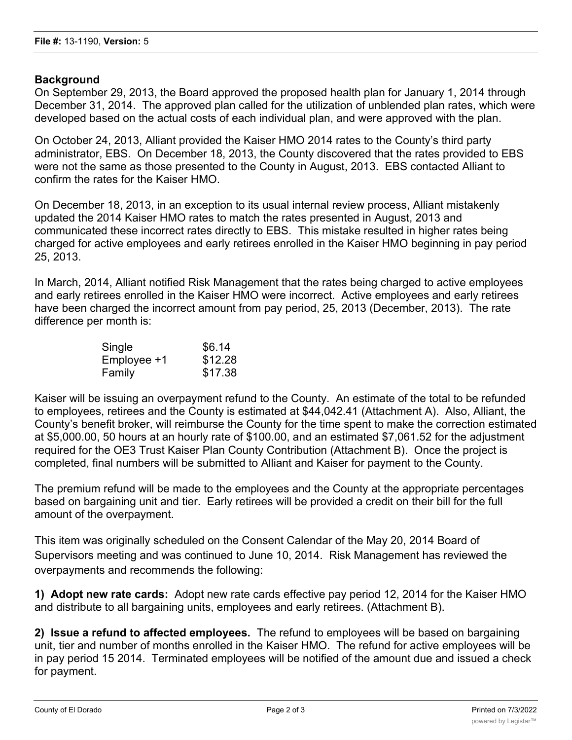# **Background**

On September 29, 2013, the Board approved the proposed health plan for January 1, 2014 through December 31, 2014. The approved plan called for the utilization of unblended plan rates, which were developed based on the actual costs of each individual plan, and were approved with the plan.

On October 24, 2013, Alliant provided the Kaiser HMO 2014 rates to the County's third party administrator, EBS. On December 18, 2013, the County discovered that the rates provided to EBS were not the same as those presented to the County in August, 2013. EBS contacted Alliant to confirm the rates for the Kaiser HMO.

On December 18, 2013, in an exception to its usual internal review process, Alliant mistakenly updated the 2014 Kaiser HMO rates to match the rates presented in August, 2013 and communicated these incorrect rates directly to EBS. This mistake resulted in higher rates being charged for active employees and early retirees enrolled in the Kaiser HMO beginning in pay period 25, 2013.

In March, 2014, Alliant notified Risk Management that the rates being charged to active employees and early retirees enrolled in the Kaiser HMO were incorrect. Active employees and early retirees have been charged the incorrect amount from pay period, 25, 2013 (December, 2013). The rate difference per month is:

| Single      | \$6.14  |
|-------------|---------|
| Employee +1 | \$12.28 |
| Family      | \$17.38 |

Kaiser will be issuing an overpayment refund to the County. An estimate of the total to be refunded to employees, retirees and the County is estimated at \$44,042.41 (Attachment A). Also, Alliant, the County's benefit broker, will reimburse the County for the time spent to make the correction estimated at \$5,000.00, 50 hours at an hourly rate of \$100.00, and an estimated \$7,061.52 for the adjustment required for the OE3 Trust Kaiser Plan County Contribution (Attachment B). Once the project is completed, final numbers will be submitted to Alliant and Kaiser for payment to the County.

The premium refund will be made to the employees and the County at the appropriate percentages based on bargaining unit and tier. Early retirees will be provided a credit on their bill for the full amount of the overpayment.

This item was originally scheduled on the Consent Calendar of the May 20, 2014 Board of Supervisors meeting and was continued to June 10, 2014. Risk Management has reviewed the overpayments and recommends the following:

**1) Adopt new rate cards:** Adopt new rate cards effective pay period 12, 2014 for the Kaiser HMO and distribute to all bargaining units, employees and early retirees. (Attachment B).

**2) Issue a refund to affected employees.** The refund to employees will be based on bargaining unit, tier and number of months enrolled in the Kaiser HMO. The refund for active employees will be in pay period 15 2014. Terminated employees will be notified of the amount due and issued a check for payment.